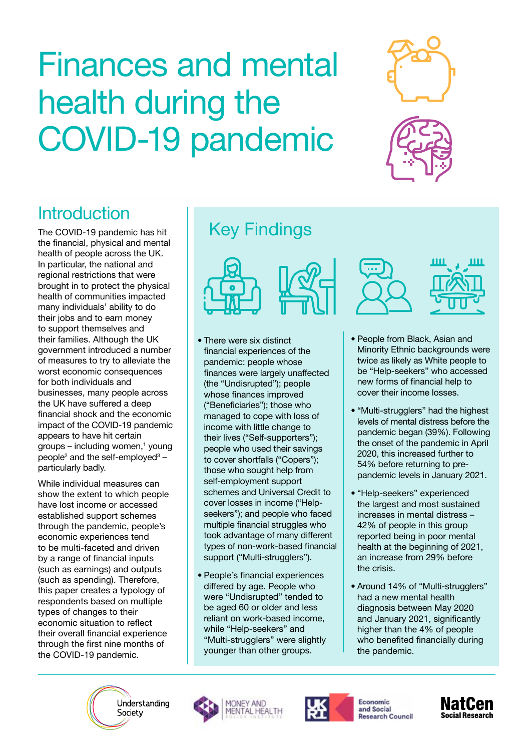# Finances and mental health during the COVID-19 pandemic





# **Introduction**

The COVID-19 pandemic has hit the financial, physical and mental health of people across the UK. In particular, the national and regional restrictions that were brought in to protect the physical health of communities impacted many individuals' ability to do their jobs and to earn money to support themselves and their families. Although the UK government introduced a number of measures to try to alleviate the worst economic consequences for both individuals and businesses, many people across the UK have suffered a deep financial shock and the economic impact of the COVID-19 pandemic appears to have hit certain groups – including women,<sup>1</sup> young people<sup>2</sup> and the self-employed<sup>3</sup> – particularly badly.

While individual measures can show the extent to which people have lost income or accessed established support schemes through the pandemic, people's economic experiences tend to be multi-faceted and driven by a range of financial inputs (such as earnings) and outputs (such as spending). Therefore, this paper creates a typology of respondents based on multiple types of changes to their economic situation to reflect their overall financial experience through the first nine months of the COVID-19 pandemic.

# Key Findings



- There were six distinct financial experiences of the pandemic: people whose finances were largely unaffected (the "Undisrupted"); people whose finances improved ("Beneficiaries"); those who managed to cope with loss of income with little change to their lives ("Self-supporters"); people who used their savings to cover shortfalls ("Copers"); those who sought help from self-employment support schemes and Universal Credit to cover losses in income ("Helpseekers"); and people who faced multiple financial struggles who took advantage of many different types of non-work-based financial support ("Multi-strugglers").
- People's financial experiences differed by age. People who were "Undisrupted" tended to be aged 60 or older and less reliant on work-based income, while "Help-seekers" and "Multi-strugglers" were slightly younger than other groups.





- People from Black, Asian and Minority Ethnic backgrounds were twice as likely as White people to be "Help-seekers" who accessed new forms of financial help to cover their income losses.
- "Multi-strugglers" had the highest levels of mental distress before the pandemic began (39%). Following the onset of the pandemic in April 2020, this increased further to 54% before returning to prepandemic levels in January 2021.
- "Help-seekers" experienced the largest and most sustained increases in mental distress – 42% of people in this group reported being in poor mental health at the beginning of 2021, an increase from 29% before the crisis.
- Around 14% of "Multi-strugglers" had a new mental health diagnosis between May 2020 and January 2021, significantly higher than the 4% of people who benefited financially during the pandemic.

Understanding Society





**Economic** and Social **Research Council** 

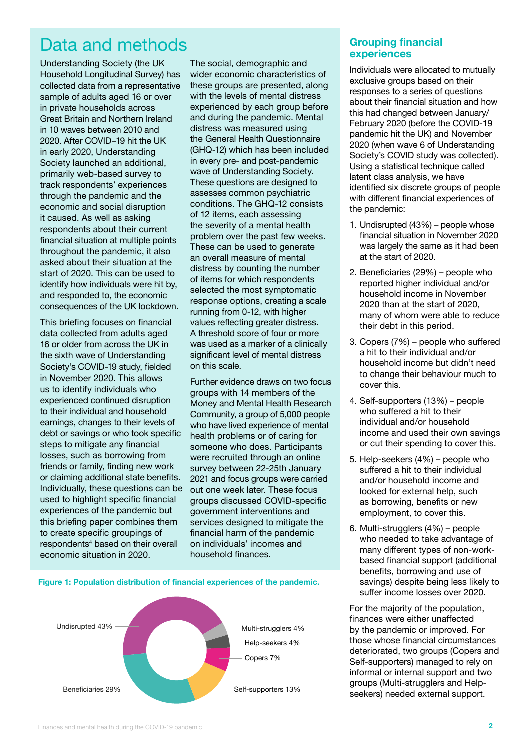### Data and methods

Understanding Society (the UK Household Longitudinal Survey) has collected data from a representative sample of adults aged 16 or over in private households across Great Britain and Northern Ireland in 10 waves between 2010 and 2020. After COVID–19 hit the UK in early 2020, Understanding Society launched an additional, primarily web-based survey to track respondents' experiences through the pandemic and the economic and social disruption it caused. As well as asking respondents about their current financial situation at multiple points throughout the pandemic, it also asked about their situation at the start of 2020. This can be used to identify how individuals were hit by, and responded to, the economic consequences of the UK lockdown.

This briefing focuses on financial data collected from adults aged 16 or older from across the UK in the sixth wave of Understanding Society's COVID-19 study, fielded in November 2020. This allows us to identify individuals who experienced continued disruption to their individual and household earnings, changes to their levels of debt or savings or who took specific steps to mitigate any financial losses, such as borrowing from friends or family, finding new work or claiming additional state benefits. Individually, these questions can be used to highlight specific financial experiences of the pandemic but this briefing paper combines them to create specific groupings of respondents<sup>4</sup> based on their overall economic situation in 2020.

The social, demographic and wider economic characteristics of these groups are presented, along with the levels of mental distress experienced by each group before and during the pandemic. Mental distress was measured using the General Health Questionnaire (GHQ-12) which has been included in every pre- and post-pandemic wave of Understanding Society. These questions are designed to assesses common psychiatric conditions. The GHQ-12 consists of 12 items, each assessing the severity of a mental health problem over the past few weeks. These can be used to generate an overall measure of mental distress by counting the number of items for which respondents selected the most symptomatic response options, creating a scale running from 0-12, with higher values reflecting greater distress. A threshold score of four or more was used as a marker of a clinically significant level of mental distress on this scale.

Further evidence draws on two focus groups with 14 members of the Money and Mental Health Research Community, a group of 5,000 people who have lived experience of mental health problems or of caring for someone who does. Participants were recruited through an online survey between 22-25th January 2021 and focus groups were carried out one week later. These focus groups discussed COVID-specific government interventions and services designed to mitigate the financial harm of the pandemic on individuals' incomes and household finances.



**Figure 1: Population distribution of financial experiences of the pandemic.**

#### **Grouping financial experiences**

Individuals were allocated to mutually exclusive groups based on their responses to a series of questions about their financial situation and how this had changed between January/ February 2020 (before the COVID-19 pandemic hit the UK) and November 2020 (when wave 6 of Understanding Society's COVID study was collected). Using a statistical technique called latent class analysis, we have identified six discrete groups of people with different financial experiences of the pandemic:

- 1. Undisrupted (43%) people whose financial situation in November 2020 was largely the same as it had been at the start of 2020.
- 2. Beneficiaries (29%) people who reported higher individual and/or household income in November 2020 than at the start of 2020, many of whom were able to reduce their debt in this period.
- 3. Copers (7%) people who suffered a hit to their individual and/or household income but didn't need to change their behaviour much to cover this.
- 4. Self-supporters (13%) people who suffered a hit to their individual and/or household income and used their own savings or cut their spending to cover this.
- 5. Help-seekers (4%) people who suffered a hit to their individual and/or household income and looked for external help, such as borrowing, benefits or new employment, to cover this.
- 6. Multi-strugglers (4%) people who needed to take advantage of many different types of non-workbased financial support (additional benefits, borrowing and use of savings) despite being less likely to suffer income losses over 2020.

For the majority of the population, finances were either unaffected by the pandemic or improved. For those whose financial circumstances deteriorated, two groups (Copers and Self-supporters) managed to rely on informal or internal support and two groups (Multi-strugglers and Helpseekers) needed external support.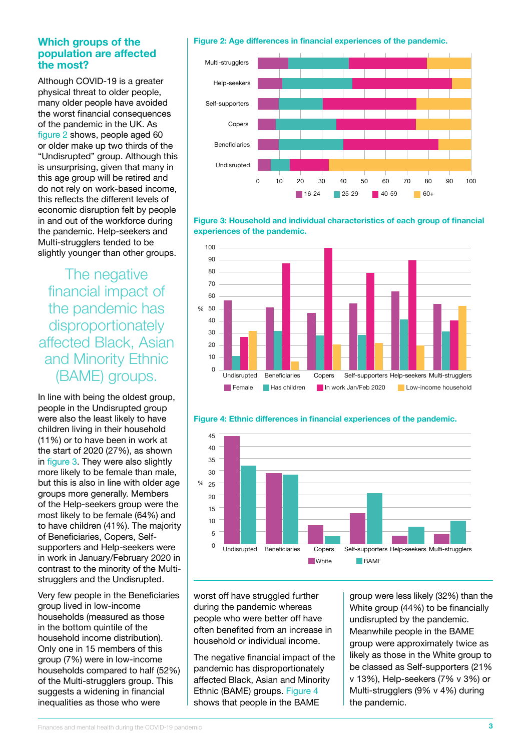#### **Which groups of the population are affected the most?**

Although COVID-19 is a greater physical threat to older people, many older people have avoided the worst financial consequences of the pandemic in the UK. As figure 2 shows, people aged 60 or older make up two thirds of the "Undisrupted" group. Although this is unsurprising, given that many in this age group will be retired and do not rely on work-based income, this reflects the different levels of economic disruption felt by people in and out of the workforce during the pandemic. Help-seekers and Multi-strugglers tended to be slightly younger than other groups.

The negative financial impact of the pandemic has disproportionately affected Black, Asian and Minority Ethnic (BAME) groups.

In line with being the oldest group, people in the Undisrupted group were also the least likely to have children living in their household (11%) or to have been in work at the start of 2020 (27%), as shown in figure 3. They were also slightly more likely to be female than male, but this is also in line with older age groups more generally. Members of the Help-seekers group were the most likely to be female (64%) and to have children (41%). The majority of Beneficiaries, Copers, Selfsupporters and Help-seekers were in work in January/February 2020 in contrast to the minority of the Multistrugglers and the Undisrupted.

Very few people in the Beneficiaries group lived in low-income households (measured as those in the bottom quintile of the household income distribution). Only one in 15 members of this group (7%) were in low-income households compared to half (52%) of the Multi-strugglers group. This suggests a widening in financial inequalities as those who were

#### **Figure 2: Age differences in financial experiences of the pandemic.**



**Figure 3: Household and individual characteristics of each group of financial experiences of the pandemic.**





**N** White **BAME** Undisrupted Beneficiaries Copers Self-supporters Help-seekers Multi-strugglers

**Figure 4: Ethnic differences in financial experiences of the pandemic.** 50

worst off have struggled further during the pandemic whereas people who were better off have often benefited from an increase in household or individual income.

0

The negative financial impact of the pandemic has disproportionately affected Black, Asian and Minority Ethnic (BAME) groups. Figure 4 shows that people in the BAME

group were less likely (32%) than the White group (44%) to be financially undisrupted by the pandemic. Meanwhile people in the BAME group were approximately twice as likely as those in the White group to be classed as Self-supporters (21% v 13%), Help-seekers (7% v 3%) or Multi-strugglers (9% v 4%) during the pandemic.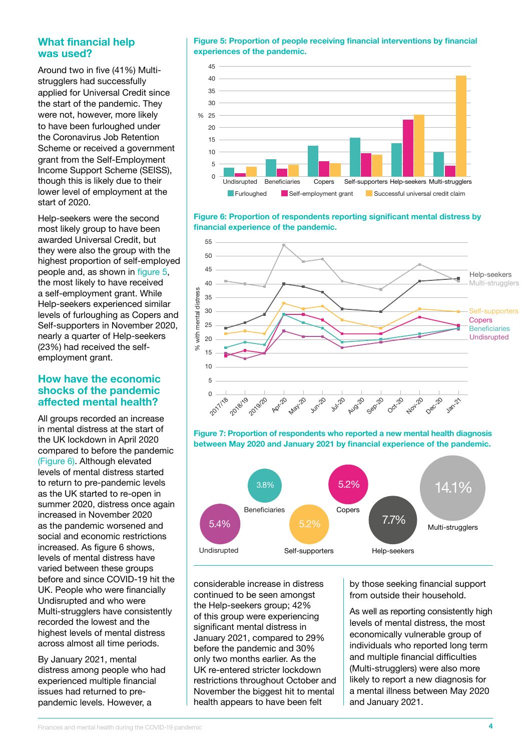#### **What financial help was used?**

Around two in five (41%) Multistrugglers had successfully applied for Universal Credit since the start of the pandemic. They were not, however, more likely to have been furloughed under the Coronavirus Job Retention Scheme or received a government grant from the Self-Employment Income Support Scheme (SEISS), though this is likely due to their lower level of employment at the start of 2020.

Help-seekers were the second most likely group to have been awarded Universal Credit, but they were also the group with the highest proportion of self-employed people and, as shown in figure 5, the most likely to have received a self-employment grant. While Help-seekers experienced similar levels of furloughing as Copers and Self-supporters in November 2020, nearly a quarter of Help-seekers (23%) had received the selfemployment grant.

#### **How have the economic shocks of the pandemic affected mental health?**

All groups recorded an increase in mental distress at the start of the UK lockdown in April 2020 compared to before the pandemic (Figure 6). Although elevated levels of mental distress started to return to pre-pandemic levels as the UK started to re-open in summer 2020, distress once again increased in November 2020 as the pandemic worsened and social and economic restrictions increased. As figure 6 shows, levels of mental distress have varied between these groups before and since COVID-19 hit the UK. People who were financially Undisrupted and who were Multi-strugglers have consistently recorded the lowest and the highest levels of mental distress across almost all time periods.

By January 2021, mental distress among people who had experienced multiple financial issues had returned to prepandemic levels. However, a

**Figure 5: Proportion of people receiving financial interventions by financial experiences of the pandemic.** 50



**Figure 6: Proportion of respondents reporting significant mental distress by financial experience of the pandemic.** 60







considerable increase in distress continued to be seen amongst the Help-seekers group; 42% of this group were experiencing significant mental distress in January 2021, compared to 29% before the pandemic and 30% only two months earlier. As the UK re-entered stricter lockdown restrictions throughout October and November the biggest hit to mental health appears to have been felt

by those seeking financial support from outside their household.

As well as reporting consistently high levels of mental distress, the most economically vulnerable group of individuals who reported long term and multiple financial difficulties (Multi-strugglers) were also more likely to report a new diagnosis for a mental illness between May 2020 and January 2021.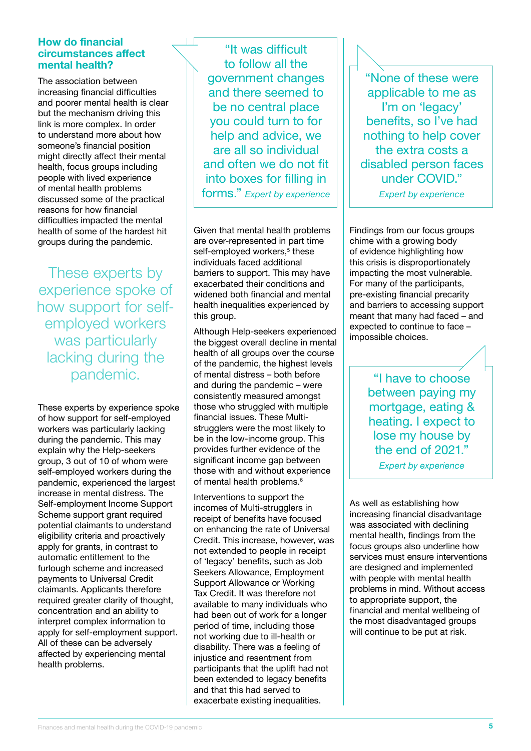#### **How do financial circumstances affect mental health?**

The association between increasing financial difficulties and poorer mental health is clear but the mechanism driving this link is more complex. In order to understand more about how someone's financial position might directly affect their mental health, focus groups including people with lived experience of mental health problems discussed some of the practical reasons for how financial difficulties impacted the mental health of some of the hardest hit groups during the pandemic.

These experts by experience spoke of how support for selfemployed workers was particularly lacking during the pandemic.

These experts by experience spoke of how support for self-employed workers was particularly lacking during the pandemic. This may explain why the Help-seekers group, 3 out of 10 of whom were self-employed workers during the pandemic, experienced the largest increase in mental distress. The Self-employment Income Support Scheme support grant required potential claimants to understand eligibility criteria and proactively apply for grants, in contrast to automatic entitlement to the furlough scheme and increased payments to Universal Credit claimants. Applicants therefore required greater clarity of thought, concentration and an ability to interpret complex information to apply for self-employment support. All of these can be adversely affected by experiencing mental health problems.

"It was difficult to follow all the government changes and there seemed to be no central place you could turn to for help and advice, we are all so individual and often we do not fit into boxes for filling in forms." *Expert by experience*

Given that mental health problems are over-represented in part time self-employed workers,<sup>5</sup> these individuals faced additional barriers to support. This may have exacerbated their conditions and widened both financial and mental health inequalities experienced by this group.

Although Help-seekers experienced the biggest overall decline in mental health of all groups over the course of the pandemic, the highest levels of mental distress – both before and during the pandemic – were consistently measured amongst those who struggled with multiple financial issues. These Multistrugglers were the most likely to be in the low-income group. This provides further evidence of the significant income gap between those with and without experience of mental health problems.<sup>6</sup>

Interventions to support the incomes of Multi-strugglers in receipt of benefits have focused on enhancing the rate of Universal Credit. This increase, however, was not extended to people in receipt of 'legacy' benefits, such as Job Seekers Allowance, Employment Support Allowance or Working Tax Credit. It was therefore not available to many individuals who had been out of work for a longer period of time, including those not working due to ill-health or disability. There was a feeling of injustice and resentment from participants that the uplift had not been extended to legacy benefits and that this had served to exacerbate existing inequalities.

"None of these were applicable to me as I'm on 'legacy' benefits, so I've had nothing to help cover the extra costs a disabled person faces under COVID."

*Expert by experience*

Findings from our focus groups chime with a growing body of evidence highlighting how this crisis is disproportionately impacting the most vulnerable. For many of the participants, pre-existing financial precarity and barriers to accessing support meant that many had faced – and expected to continue to face – impossible choices.

> "I have to choose between paying my mortgage, eating & heating. I expect to lose my house by the end of 2021."

*Expert by experience*

As well as establishing how increasing financial disadvantage was associated with declining mental health, findings from the focus groups also underline how services must ensure interventions are designed and implemented with people with mental health problems in mind. Without access to appropriate support, the financial and mental wellbeing of the most disadvantaged groups will continue to be put at risk.